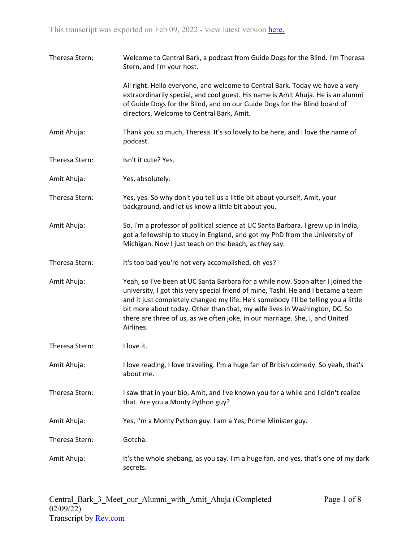| Theresa Stern: | Welcome to Central Bark, a podcast from Guide Dogs for the Blind. I'm Theresa<br>Stern, and I'm your host.                                                                                                                                                                                                                                                                                                                            |
|----------------|---------------------------------------------------------------------------------------------------------------------------------------------------------------------------------------------------------------------------------------------------------------------------------------------------------------------------------------------------------------------------------------------------------------------------------------|
|                | All right. Hello everyone, and welcome to Central Bark. Today we have a very<br>extraordinarily special, and cool guest. His name is Amit Ahuja. He is an alumni<br>of Guide Dogs for the Blind, and on our Guide Dogs for the Blind board of<br>directors. Welcome to Central Bark, Amit.                                                                                                                                            |
| Amit Ahuja:    | Thank you so much, Theresa. It's so lovely to be here, and I love the name of<br>podcast.                                                                                                                                                                                                                                                                                                                                             |
| Theresa Stern: | Isn't it cute? Yes.                                                                                                                                                                                                                                                                                                                                                                                                                   |
| Amit Ahuja:    | Yes, absolutely.                                                                                                                                                                                                                                                                                                                                                                                                                      |
| Theresa Stern: | Yes, yes. So why don't you tell us a little bit about yourself, Amit, your<br>background, and let us know a little bit about you.                                                                                                                                                                                                                                                                                                     |
| Amit Ahuja:    | So, I'm a professor of political science at UC Santa Barbara. I grew up in India,<br>got a fellowship to study in England, and got my PhD from the University of<br>Michigan. Now I just teach on the beach, as they say.                                                                                                                                                                                                             |
| Theresa Stern: | It's too bad you're not very accomplished, oh yes?                                                                                                                                                                                                                                                                                                                                                                                    |
| Amit Ahuja:    | Yeah, so I've been at UC Santa Barbara for a while now. Soon after I joined the<br>university, I got this very special friend of mine, Tashi. He and I became a team<br>and it just completely changed my life. He's somebody I'll be telling you a little<br>bit more about today. Other than that, my wife lives in Washington, DC. So<br>there are three of us, as we often joke, in our marriage. She, I, and United<br>Airlines. |
| Theresa Stern: | I love it.                                                                                                                                                                                                                                                                                                                                                                                                                            |
| Amit Ahuja:    | I love reading, I love traveling. I'm a huge fan of British comedy. So yeah, that's<br>about me.                                                                                                                                                                                                                                                                                                                                      |
| Theresa Stern: | I saw that in your bio, Amit, and I've known you for a while and I didn't realize<br>that. Are you a Monty Python guy?                                                                                                                                                                                                                                                                                                                |
| Amit Ahuja:    | Yes, I'm a Monty Python guy. I am a Yes, Prime Minister guy.                                                                                                                                                                                                                                                                                                                                                                          |
| Theresa Stern: | Gotcha.                                                                                                                                                                                                                                                                                                                                                                                                                               |
| Amit Ahuja:    | It's the whole shebang, as you say. I'm a huge fan, and yes, that's one of my dark<br>secrets.                                                                                                                                                                                                                                                                                                                                        |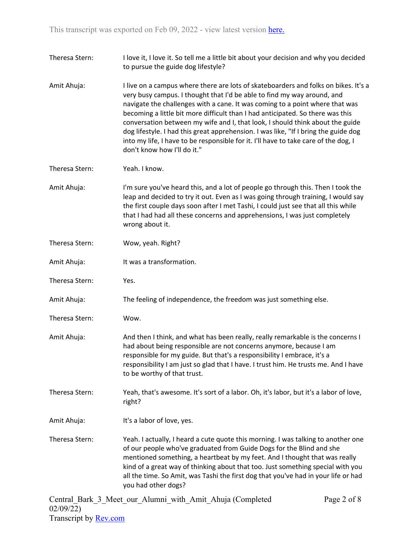Theresa Stern: I love it, I love it. So tell me a little bit about your decision and why you decided to pursue the guide dog lifestyle? Amit Ahuja: I live on a campus where there are lots of skateboarders and folks on bikes. It's a very busy campus. I thought that I'd be able to find my way around, and navigate the challenges with a cane. It was coming to a point where that was becoming a little bit more difficult than I had anticipated. So there was this conversation between my wife and I, that look, I should think about the guide dog lifestyle. I had this great apprehension. I was like, "If I bring the guide dog into my life, I have to be responsible for it. I'll have to take care of the dog, I don't know how I'll do it." Theresa Stern: Yeah. I know. Amit Ahuja: I'm sure you've heard this, and a lot of people go through this. Then I took the leap and decided to try it out. Even as I was going through training, I would say the first couple days soon after I met Tashi, I could just see that all this while that I had had all these concerns and apprehensions, I was just completely wrong about it. Theresa Stern: Wow, yeah. Right? Amit Ahuja: It was a transformation. Theresa Stern: Yes. Amit Ahuja: The feeling of independence, the freedom was just something else. Theresa Stern: Wow. Amit Ahuja: And then I think, and what has been really, really remarkable is the concerns I had about being responsible are not concerns anymore, because I am responsible for my guide. But that's a responsibility I embrace, it's a responsibility I am just so glad that I have. I trust him. He trusts me. And I have to be worthy of that trust. Theresa Stern: Yeah, that's awesome. It's sort of a labor. Oh, it's labor, but it's a labor of love, right? Amit Ahuja: It's a labor of love, yes. Theresa Stern: Yeah. I actually, I heard a cute quote this morning. I was talking to another one of our people who've graduated from Guide Dogs for the Blind and she mentioned something, a heartbeat by my feet. And I thought that was really kind of a great way of thinking about that too. Just something special with you all the time. So Amit, was Tashi the first dog that you've had in your life or had you had other dogs?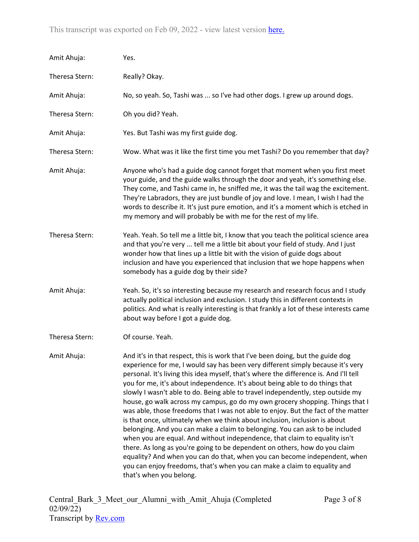| Amit Ahuja:    | Yes.                                                                                                                                                                                                                                                                                                                                                                                                                                                                                                                                                                                                                                                                                                                                                                                                                                                                                                                                                                                                                                                                                                              |
|----------------|-------------------------------------------------------------------------------------------------------------------------------------------------------------------------------------------------------------------------------------------------------------------------------------------------------------------------------------------------------------------------------------------------------------------------------------------------------------------------------------------------------------------------------------------------------------------------------------------------------------------------------------------------------------------------------------------------------------------------------------------------------------------------------------------------------------------------------------------------------------------------------------------------------------------------------------------------------------------------------------------------------------------------------------------------------------------------------------------------------------------|
| Theresa Stern: | Really? Okay.                                                                                                                                                                                                                                                                                                                                                                                                                                                                                                                                                                                                                                                                                                                                                                                                                                                                                                                                                                                                                                                                                                     |
| Amit Ahuja:    | No, so yeah. So, Tashi was  so I've had other dogs. I grew up around dogs.                                                                                                                                                                                                                                                                                                                                                                                                                                                                                                                                                                                                                                                                                                                                                                                                                                                                                                                                                                                                                                        |
| Theresa Stern: | Oh you did? Yeah.                                                                                                                                                                                                                                                                                                                                                                                                                                                                                                                                                                                                                                                                                                                                                                                                                                                                                                                                                                                                                                                                                                 |
| Amit Ahuja:    | Yes. But Tashi was my first guide dog.                                                                                                                                                                                                                                                                                                                                                                                                                                                                                                                                                                                                                                                                                                                                                                                                                                                                                                                                                                                                                                                                            |
| Theresa Stern: | Wow. What was it like the first time you met Tashi? Do you remember that day?                                                                                                                                                                                                                                                                                                                                                                                                                                                                                                                                                                                                                                                                                                                                                                                                                                                                                                                                                                                                                                     |
| Amit Ahuja:    | Anyone who's had a guide dog cannot forget that moment when you first meet<br>your guide, and the guide walks through the door and yeah, it's something else.<br>They come, and Tashi came in, he sniffed me, it was the tail wag the excitement.<br>They're Labradors, they are just bundle of joy and love. I mean, I wish I had the<br>words to describe it. It's just pure emotion, and it's a moment which is etched in<br>my memory and will probably be with me for the rest of my life.                                                                                                                                                                                                                                                                                                                                                                                                                                                                                                                                                                                                                   |
| Theresa Stern: | Yeah. Yeah. So tell me a little bit, I know that you teach the political science area<br>and that you're very  tell me a little bit about your field of study. And I just<br>wonder how that lines up a little bit with the vision of guide dogs about<br>inclusion and have you experienced that inclusion that we hope happens when<br>somebody has a guide dog by their side?                                                                                                                                                                                                                                                                                                                                                                                                                                                                                                                                                                                                                                                                                                                                  |
| Amit Ahuja:    | Yeah. So, it's so interesting because my research and research focus and I study<br>actually political inclusion and exclusion. I study this in different contexts in<br>politics. And what is really interesting is that frankly a lot of these interests came<br>about way before I got a guide dog.                                                                                                                                                                                                                                                                                                                                                                                                                                                                                                                                                                                                                                                                                                                                                                                                            |
| Theresa Stern: | Of course. Yeah.                                                                                                                                                                                                                                                                                                                                                                                                                                                                                                                                                                                                                                                                                                                                                                                                                                                                                                                                                                                                                                                                                                  |
| Amit Ahuja:    | And it's in that respect, this is work that I've been doing, but the guide dog<br>experience for me, I would say has been very different simply because it's very<br>personal. It's living this idea myself, that's where the difference is. And I'll tell<br>you for me, it's about independence. It's about being able to do things that<br>slowly I wasn't able to do. Being able to travel independently, step outside my<br>house, go walk across my campus, go do my own grocery shopping. Things that I<br>was able, those freedoms that I was not able to enjoy. But the fact of the matter<br>is that once, ultimately when we think about inclusion, inclusion is about<br>belonging. And you can make a claim to belonging. You can ask to be included<br>when you are equal. And without independence, that claim to equality isn't<br>there. As long as you're going to be dependent on others, how do you claim<br>equality? And when you can do that, when you can become independent, when<br>you can enjoy freedoms, that's when you can make a claim to equality and<br>that's when you belong. |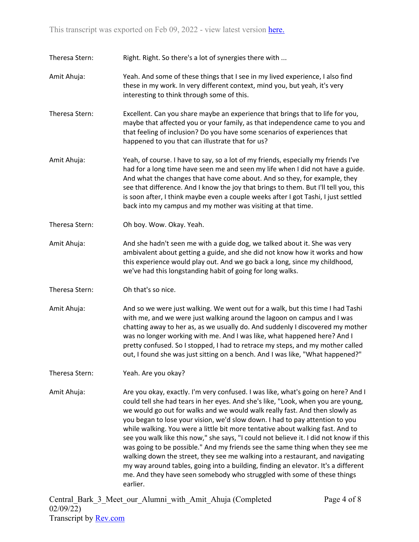Theresa Stern: Right. Right. So there's a lot of synergies there with ...

- Amit Ahuja: Yeah. And some of these things that I see in my lived experience, I also find these in my work. In very different context, mind you, but yeah, it's very interesting to think through some of this.
- Theresa Stern: Excellent. Can you share maybe an experience that brings that to life for you, maybe that affected you or your family, as that independence came to you and that feeling of inclusion? Do you have some scenarios of experiences that happened to you that can illustrate that for us?
- Amit Ahuja: Yeah, of course. I have to say, so a lot of my friends, especially my friends I've had for a long time have seen me and seen my life when I did not have a guide. And what the changes that have come about. And so they, for example, they see that difference. And I know the joy that brings to them. But I'll tell you, this is soon after, I think maybe even a couple weeks after I got Tashi, I just settled back into my campus and my mother was visiting at that time.
- Theresa Stern: Oh boy. Wow. Okay. Yeah.
- Amit Ahuja: And she hadn't seen me with a guide dog, we talked about it. She was very ambivalent about getting a guide, and she did not know how it works and how this experience would play out. And we go back a long, since my childhood, we've had this longstanding habit of going for long walks.
- Theresa Stern: Oh that's so nice.
- Amit Ahuja: And so we were just walking. We went out for a walk, but this time I had Tashi with me, and we were just walking around the lagoon on campus and I was chatting away to her as, as we usually do. And suddenly I discovered my mother was no longer working with me. And I was like, what happened here? And I pretty confused. So I stopped, I had to retrace my steps, and my mother called out, I found she was just sitting on a bench. And I was like, "What happened?"
- Theresa Stern: Yeah. Are you okay?
- Amit Ahuja: Are you okay, exactly. I'm very confused. I was like, what's going on here? And I could tell she had tears in her eyes. And she's like, "Look, when you are young, we would go out for walks and we would walk really fast. And then slowly as you began to lose your vision, we'd slow down. I had to pay attention to you while walking. You were a little bit more tentative about walking fast. And to see you walk like this now," she says, "I could not believe it. I did not know if this was going to be possible." And my friends see the same thing when they see me walking down the street, they see me walking into a restaurant, and navigating my way around tables, going into a building, finding an elevator. It's a different me. And they have seen somebody who struggled with some of these things earlier.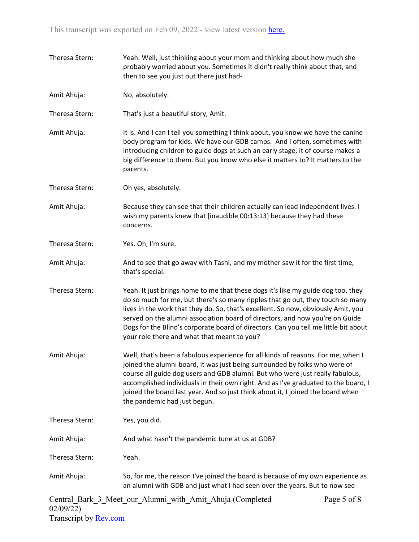Theresa Stern: Yeah. Well, just thinking about your mom and thinking about how much she probably worried about you. Sometimes it didn't really think about that, and then to see you just out there just had-Amit Ahuja: No, absolutely. Theresa Stern: That's just a beautiful story, Amit. Amit Ahuja: It is. And I can I tell you something I think about, you know we have the canine body program for kids. We have our GDB camps. And I often, sometimes with introducing children to guide dogs at such an early stage, it of course makes a big difference to them. But you know who else it matters to? It matters to the parents. Theresa Stern: Oh yes, absolutely. Amit Ahuja: Because they can see that their children actually can lead independent lives. I wish my parents knew that [inaudible 00:13:13] because they had these concerns. Theresa Stern: Yes. Oh, I'm sure. Amit Ahuja: And to see that go away with Tashi, and my mother saw it for the first time, that's special. Theresa Stern: Yeah. It just brings home to me that these dogs it's like my guide dog too, they do so much for me, but there's so many ripples that go out, they touch so many lives in the work that they do. So, that's excellent. So now, obviously Amit, you served on the alumni association board of directors, and now you're on Guide Dogs for the Blind's corporate board of directors. Can you tell me little bit about your role there and what that meant to you? Amit Ahuja: Well, that's been a fabulous experience for all kinds of reasons. For me, when I joined the alumni board, it was just being surrounded by folks who were of course all guide dog users and GDB alumni. But who were just really fabulous, accomplished individuals in their own right. And as I've graduated to the board, I joined the board last year. And so just think about it, I joined the board when the pandemic had just begun. Theresa Stern: Yes, you did. Amit Ahuja: And what hasn't the pandemic tune at us at GDB? Theresa Stern: Yeah. Amit Ahuja: So, for me, the reason I've joined the board is because of my own experience as an alumni with GDB and just what I had seen over the years. But to now see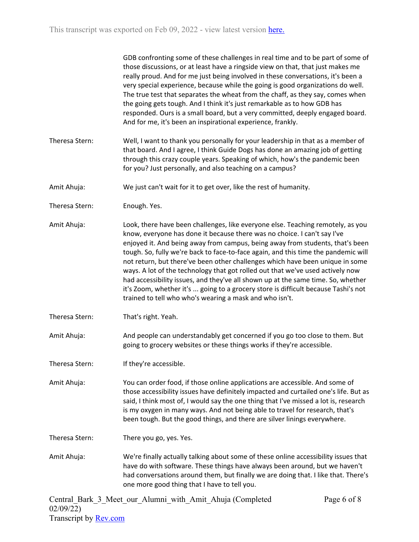|                | GDB confronting some of these challenges in real time and to be part of some of<br>those discussions, or at least have a ringside view on that, that just makes me<br>really proud. And for me just being involved in these conversations, it's been a<br>very special experience, because while the going is good organizations do well.<br>The true test that separates the wheat from the chaff, as they say, comes when<br>the going gets tough. And I think it's just remarkable as to how GDB has<br>responded. Ours is a small board, but a very committed, deeply engaged board.<br>And for me, it's been an inspirational experience, frankly.                                                                                    |
|----------------|--------------------------------------------------------------------------------------------------------------------------------------------------------------------------------------------------------------------------------------------------------------------------------------------------------------------------------------------------------------------------------------------------------------------------------------------------------------------------------------------------------------------------------------------------------------------------------------------------------------------------------------------------------------------------------------------------------------------------------------------|
| Theresa Stern: | Well, I want to thank you personally for your leadership in that as a member of<br>that board. And I agree, I think Guide Dogs has done an amazing job of getting<br>through this crazy couple years. Speaking of which, how's the pandemic been<br>for you? Just personally, and also teaching on a campus?                                                                                                                                                                                                                                                                                                                                                                                                                               |
| Amit Ahuja:    | We just can't wait for it to get over, like the rest of humanity.                                                                                                                                                                                                                                                                                                                                                                                                                                                                                                                                                                                                                                                                          |
| Theresa Stern: | Enough. Yes.                                                                                                                                                                                                                                                                                                                                                                                                                                                                                                                                                                                                                                                                                                                               |
| Amit Ahuja:    | Look, there have been challenges, like everyone else. Teaching remotely, as you<br>know, everyone has done it because there was no choice. I can't say I've<br>enjoyed it. And being away from campus, being away from students, that's been<br>tough. So, fully we're back to face-to-face again, and this time the pandemic will<br>not return, but there've been other challenges which have been unique in some<br>ways. A lot of the technology that got rolled out that we've used actively now<br>had accessibility issues, and they've all shown up at the same time. So, whether<br>it's Zoom, whether it's  going to a grocery store is difficult because Tashi's not<br>trained to tell who who's wearing a mask and who isn't. |
| Theresa Stern: | That's right. Yeah.                                                                                                                                                                                                                                                                                                                                                                                                                                                                                                                                                                                                                                                                                                                        |
| Amit Ahuja:    | And people can understandably get concerned if you go too close to them. But<br>going to grocery websites or these things works if they're accessible.                                                                                                                                                                                                                                                                                                                                                                                                                                                                                                                                                                                     |
| Theresa Stern: | If they're accessible.                                                                                                                                                                                                                                                                                                                                                                                                                                                                                                                                                                                                                                                                                                                     |
| Amit Ahuja:    | You can order food, if those online applications are accessible. And some of<br>those accessibility issues have definitely impacted and curtailed one's life. But as<br>said, I think most of, I would say the one thing that I've missed a lot is, research<br>is my oxygen in many ways. And not being able to travel for research, that's<br>been tough. But the good things, and there are silver linings everywhere.                                                                                                                                                                                                                                                                                                                  |
| Theresa Stern: | There you go, yes. Yes.                                                                                                                                                                                                                                                                                                                                                                                                                                                                                                                                                                                                                                                                                                                    |
| Amit Ahuja:    | We're finally actually talking about some of these online accessibility issues that<br>have do with software. These things have always been around, but we haven't<br>had conversations around them, but finally we are doing that. I like that. There's<br>one more good thing that I have to tell you.                                                                                                                                                                                                                                                                                                                                                                                                                                   |
|                |                                                                                                                                                                                                                                                                                                                                                                                                                                                                                                                                                                                                                                                                                                                                            |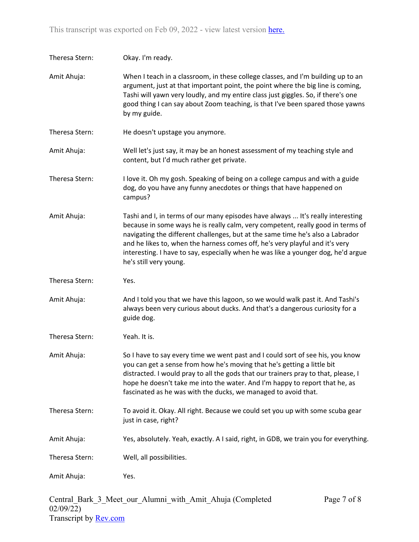| Theresa Stern: | Okay. I'm ready.                                                                                                                                                                                                                                                                                                                                                                                                                                    |
|----------------|-----------------------------------------------------------------------------------------------------------------------------------------------------------------------------------------------------------------------------------------------------------------------------------------------------------------------------------------------------------------------------------------------------------------------------------------------------|
| Amit Ahuja:    | When I teach in a classroom, in these college classes, and I'm building up to an<br>argument, just at that important point, the point where the big line is coming,<br>Tashi will yawn very loudly, and my entire class just giggles. So, if there's one<br>good thing I can say about Zoom teaching, is that I've been spared those yawns<br>by my guide.                                                                                          |
| Theresa Stern: | He doesn't upstage you anymore.                                                                                                                                                                                                                                                                                                                                                                                                                     |
| Amit Ahuja:    | Well let's just say, it may be an honest assessment of my teaching style and<br>content, but I'd much rather get private.                                                                                                                                                                                                                                                                                                                           |
| Theresa Stern: | I love it. Oh my gosh. Speaking of being on a college campus and with a guide<br>dog, do you have any funny anecdotes or things that have happened on<br>campus?                                                                                                                                                                                                                                                                                    |
| Amit Ahuja:    | Tashi and I, in terms of our many episodes have always  It's really interesting<br>because in some ways he is really calm, very competent, really good in terms of<br>navigating the different challenges, but at the same time he's also a Labrador<br>and he likes to, when the harness comes off, he's very playful and it's very<br>interesting. I have to say, especially when he was like a younger dog, he'd argue<br>he's still very young. |
| Theresa Stern: | Yes.                                                                                                                                                                                                                                                                                                                                                                                                                                                |
| Amit Ahuja:    | And I told you that we have this lagoon, so we would walk past it. And Tashi's<br>always been very curious about ducks. And that's a dangerous curiosity for a<br>guide dog.                                                                                                                                                                                                                                                                        |
| Theresa Stern: | Yeah. It is.                                                                                                                                                                                                                                                                                                                                                                                                                                        |
| Amit Ahuja:    | So I have to say every time we went past and I could sort of see his, you know<br>you can get a sense from how he's moving that he's getting a little bit<br>distracted. I would pray to all the gods that our trainers pray to that, please, I<br>hope he doesn't take me into the water. And I'm happy to report that he, as<br>fascinated as he was with the ducks, we managed to avoid that.                                                    |
| Theresa Stern: | To avoid it. Okay. All right. Because we could set you up with some scuba gear<br>just in case, right?                                                                                                                                                                                                                                                                                                                                              |
| Amit Ahuja:    | Yes, absolutely. Yeah, exactly. A I said, right, in GDB, we train you for everything.                                                                                                                                                                                                                                                                                                                                                               |
| Theresa Stern: | Well, all possibilities.                                                                                                                                                                                                                                                                                                                                                                                                                            |
|                |                                                                                                                                                                                                                                                                                                                                                                                                                                                     |